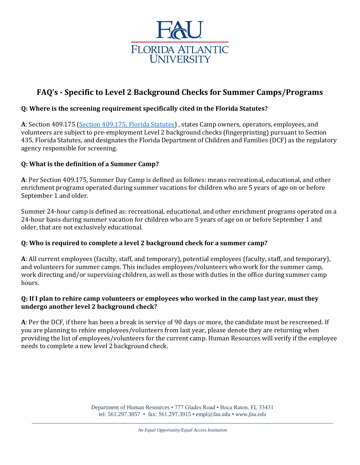

# **FAQ's - Specific to Level 2 Background Checks for Summer Camps/Programs**

# **Q: Where is the screening requirement specifically cited in the Florida Statutes?**

**A**: Section 409.175 (Section [409.175,](http://www.leg.state.fl.us/statutes/index.cfm?mode=View%20Statutes&SubMenu=1&App_mode=Display_Statute&Search_String=409.175&URL=0400-0499/0409/Sections/0409.175.html) Florida Statutes) , states Camp owners, operators, employees, and volunteers are subject to pre-employment Level 2 background checks (fingerprinting) pursuant to Section 435, Florida Statutes, and designates the Florida Department of Children and Families (DCF) as the regulatory agency responsible for screening.

#### **Q: What is the definition of a Summer Camp?**

**A**: Per Section 409.175, Summer Day Camp is defined as follows: means recreational, educational, and other enrichment programs operated during summer vacations for children who are 5 years of age on or before September 1 and older.

Summer 24-hour camp is defined as: recreational, educational, and other enrichment programs operated on a 24-hour basis during summer vacation for children who are 5 years of age on or before September 1 and older, that are not exclusively educational.

#### **Q: Who is required to complete a level 2 background check for a summer camp?**

**A**: All current employees (faculty, staff, and temporary), potential employees (faculty, staff, and temporary), and volunteers for summer camps. This includes employees/volunteers who work for the summer camp, work directing and/or supervising children, as well as those with duties in the office during summer camp hours.

#### Q: If I plan to rehire camp volunteers or employees who worked in the camp last year, must they **undergo another level 2 background check?**

**A**: Per the DCF, if there has been a break in service of 90 days or more, the candidate must be rescreened. If you are planning to rehire employees/volunteers from last year, please denote they are returning when providing the list of employees/volunteers for the current camp. Human Resources will verify if the employee needs to complete a new level 2 background check.

> Department of Human Resources • 777 Glades Road • Boca Raton, FL 33431 tel: 561.297.3057 • fax: 561.297.3915 • empl@fau.edu • *www.fau.edu*